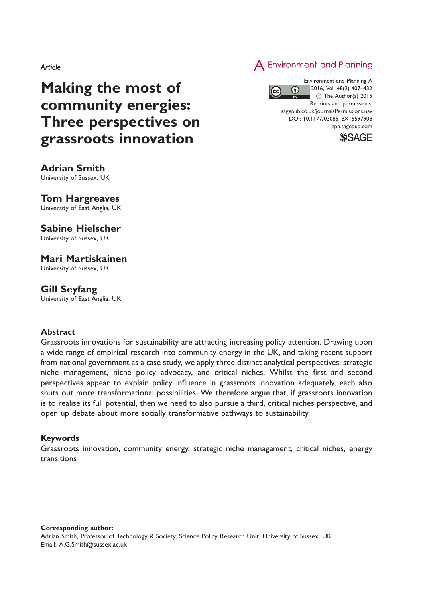**Environment and Planning** 

# Making the most of community energies: Three perspectives on grassroots innovation

Environment and Planning A 2016, Vol. 48(2) 407–432  $(c)$ 0 (C) The Author(s) 2015 Reprints and permissions: sagepub.co.uk/journalsPermissions.nav DOI: 10.1177/0308518X15597908 epn.sagepub.com



Adrian Smith University of Sussex, UK

# Tom Hargreaves

University of East Anglia, UK

# Sabine Hielscher

University of Sussex, UK

# Mari Martiskainen

University of Sussex, UK

## Gill Seyfang

University of East Anglia, UK

#### **Abstract**

Grassroots innovations for sustainability are attracting increasing policy attention. Drawing upon a wide range of empirical research into community energy in the UK, and taking recent support from national government as a case study, we apply three distinct analytical perspectives: strategic niche management, niche policy advocacy, and critical niches. Whilst the first and second perspectives appear to explain policy influence in grassroots innovation adequately, each also shuts out more transformational possibilities. We therefore argue that, if grassroots innovation is to realise its full potential, then we need to also pursue a third, critical niches perspective, and open up debate about more socially transformative pathways to sustainability.

## Keywords

Grassroots innovation, community energy, strategic niche management, critical niches, energy transitions

Corresponding author: Adrian Smith, Professor of Technology & Society, Science Policy Research Unit, University of Sussex, UK. Email: A.G.Smith@sussex.ac.uk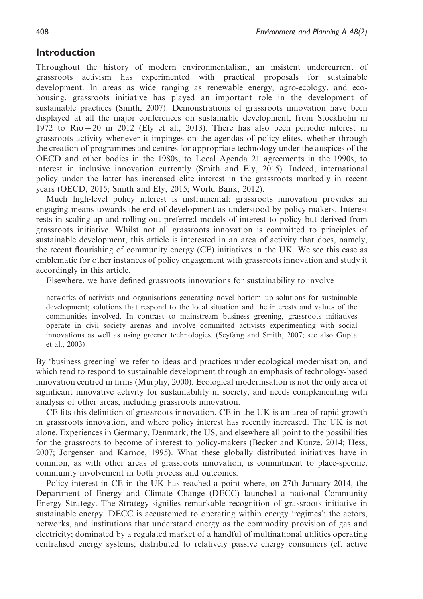## Introduction

Throughout the history of modern environmentalism, an insistent undercurrent of grassroots activism has experimented with practical proposals for sustainable development. In areas as wide ranging as renewable energy, agro-ecology, and ecohousing, grassroots initiative has played an important role in the development of sustainable practices (Smith, 2007). Demonstrations of grassroots innovation have been displayed at all the major conferences on sustainable development, from Stockholm in 1972 to  $\text{Rio} + 20$  in 2012 (Ely et al., 2013). There has also been periodic interest in grassroots activity whenever it impinges on the agendas of policy elites, whether through the creation of programmes and centres for appropriate technology under the auspices of the OECD and other bodies in the 1980s, to Local Agenda 21 agreements in the 1990s, to interest in inclusive innovation currently (Smith and Ely, 2015). Indeed, international policy under the latter has increased elite interest in the grassroots markedly in recent years (OECD, 2015; Smith and Ely, 2015; World Bank, 2012).

Much high-level policy interest is instrumental: grassroots innovation provides an engaging means towards the end of development as understood by policy-makers. Interest rests in scaling-up and rolling-out preferred models of interest to policy but derived from grassroots initiative. Whilst not all grassroots innovation is committed to principles of sustainable development, this article is interested in an area of activity that does, namely, the recent flourishing of community energy (CE) initiatives in the UK. We see this case as emblematic for other instances of policy engagement with grassroots innovation and study it accordingly in this article.

Elsewhere, we have defined grassroots innovations for sustainability to involve

networks of activists and organisations generating novel bottom–up solutions for sustainable development; solutions that respond to the local situation and the interests and values of the communities involved. In contrast to mainstream business greening, grassroots initiatives operate in civil society arenas and involve committed activists experimenting with social innovations as well as using greener technologies. (Seyfang and Smith, 2007; see also Gupta et al., 2003)

By 'business greening' we refer to ideas and practices under ecological modernisation, and which tend to respond to sustainable development through an emphasis of technology-based innovation centred in firms (Murphy, 2000). Ecological modernisation is not the only area of significant innovative activity for sustainability in society, and needs complementing with analysis of other areas, including grassroots innovation.

CE fits this definition of grassroots innovation. CE in the UK is an area of rapid growth in grassroots innovation, and where policy interest has recently increased. The UK is not alone. Experiences in Germany, Denmark, the US, and elsewhere all point to the possibilities for the grassroots to become of interest to policy-makers (Becker and Kunze, 2014; Hess, 2007; Jorgensen and Karnoe, 1995). What these globally distributed initiatives have in common, as with other areas of grassroots innovation, is commitment to place-specific, community involvement in both process and outcomes.

Policy interest in CE in the UK has reached a point where, on 27th January 2014, the Department of Energy and Climate Change (DECC) launched a national Community Energy Strategy. The Strategy signifies remarkable recognition of grassroots initiative in sustainable energy. DECC is accustomed to operating within energy 'regimes': the actors, networks, and institutions that understand energy as the commodity provision of gas and electricity; dominated by a regulated market of a handful of multinational utilities operating centralised energy systems; distributed to relatively passive energy consumers (cf. active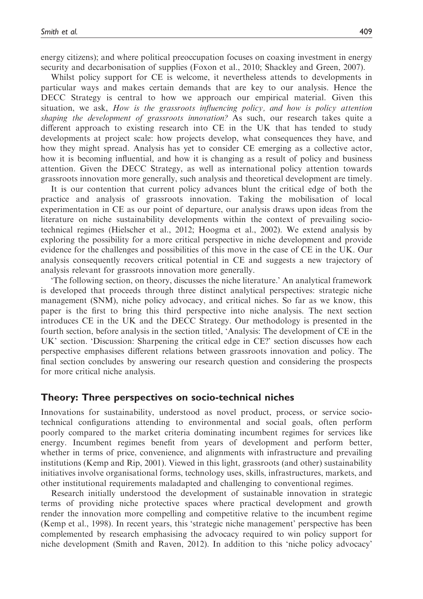energy citizens); and where political preoccupation focuses on coaxing investment in energy security and decarbonisation of supplies (Foxon et al., 2010; Shackley and Green, 2007).

Whilst policy support for CE is welcome, it nevertheless attends to developments in particular ways and makes certain demands that are key to our analysis. Hence the DECC Strategy is central to how we approach our empirical material. Given this situation, we ask, How is the grassroots influencing policy, and how is policy attention shaping the development of grassroots innovation? As such, our research takes quite a different approach to existing research into CE in the UK that has tended to study developments at project scale: how projects develop, what consequences they have, and how they might spread. Analysis has yet to consider CE emerging as a collective actor, how it is becoming influential, and how it is changing as a result of policy and business attention. Given the DECC Strategy, as well as international policy attention towards grassroots innovation more generally, such analysis and theoretical development are timely.

It is our contention that current policy advances blunt the critical edge of both the practice and analysis of grassroots innovation. Taking the mobilisation of local experimentation in CE as our point of departure, our analysis draws upon ideas from the literature on niche sustainability developments within the context of prevailing sociotechnical regimes (Hielscher et al., 2012; Hoogma et al., 2002). We extend analysis by exploring the possibility for a more critical perspective in niche development and provide evidence for the challenges and possibilities of this move in the case of CE in the UK. Our analysis consequently recovers critical potential in CE and suggests a new trajectory of analysis relevant for grassroots innovation more generally.

'The following section, on theory, discusses the niche literature.' An analytical framework is developed that proceeds through three distinct analytical perspectives: strategic niche management (SNM), niche policy advocacy, and critical niches. So far as we know, this paper is the first to bring this third perspective into niche analysis. The next section introduces CE in the UK and the DECC Strategy. Our methodology is presented in the fourth section, before analysis in the section titled, 'Analysis: The development of CE in the UK' section. 'Discussion: Sharpening the critical edge in CE?' section discusses how each perspective emphasises different relations between grassroots innovation and policy. The final section concludes by answering our research question and considering the prospects for more critical niche analysis.

#### Theory: Three perspectives on socio-technical niches

Innovations for sustainability, understood as novel product, process, or service sociotechnical configurations attending to environmental and social goals, often perform poorly compared to the market criteria dominating incumbent regimes for services like energy. Incumbent regimes benefit from years of development and perform better, whether in terms of price, convenience, and alignments with infrastructure and prevailing institutions (Kemp and Rip, 2001). Viewed in this light, grassroots (and other) sustainability initiatives involve organisational forms, technology uses, skills, infrastructures, markets, and other institutional requirements maladapted and challenging to conventional regimes.

Research initially understood the development of sustainable innovation in strategic terms of providing niche protective spaces where practical development and growth render the innovation more compelling and competitive relative to the incumbent regime (Kemp et al., 1998). In recent years, this 'strategic niche management' perspective has been complemented by research emphasising the advocacy required to win policy support for niche development (Smith and Raven, 2012). In addition to this 'niche policy advocacy'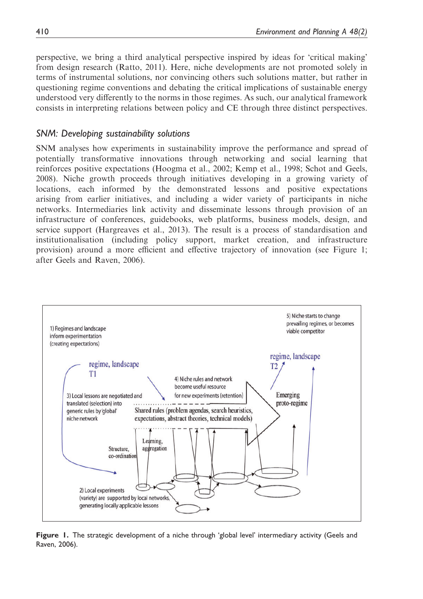perspective, we bring a third analytical perspective inspired by ideas for 'critical making' from design research (Ratto, 2011). Here, niche developments are not promoted solely in terms of instrumental solutions, nor convincing others such solutions matter, but rather in questioning regime conventions and debating the critical implications of sustainable energy understood very differently to the norms in those regimes. As such, our analytical framework consists in interpreting relations between policy and CE through three distinct perspectives.

#### SNM: Developing sustainability solutions

SNM analyses how experiments in sustainability improve the performance and spread of potentially transformative innovations through networking and social learning that reinforces positive expectations (Hoogma et al., 2002; Kemp et al., 1998; Schot and Geels, 2008). Niche growth proceeds through initiatives developing in a growing variety of locations, each informed by the demonstrated lessons and positive expectations arising from earlier initiatives, and including a wider variety of participants in niche networks. Intermediaries link activity and disseminate lessons through provision of an infrastructure of conferences, guidebooks, web platforms, business models, design, and service support (Hargreaves et al., 2013). The result is a process of standardisation and institutionalisation (including policy support, market creation, and infrastructure provision) around a more efficient and effective trajectory of innovation (see Figure 1; after Geels and Raven, 2006).



Figure 1. The strategic development of a niche through 'global level' intermediary activity (Geels and Raven, 2006).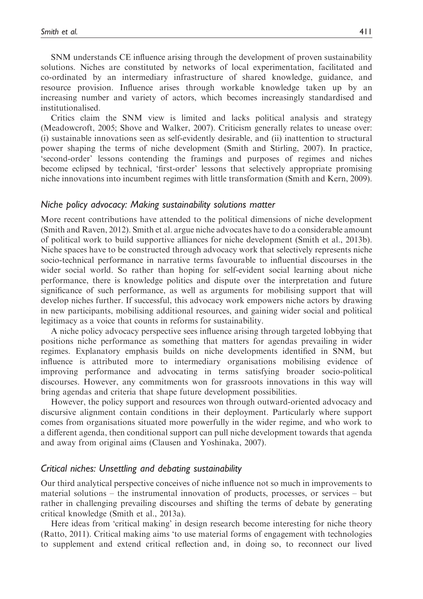SNM understands CE influence arising through the development of proven sustainability solutions. Niches are constituted by networks of local experimentation, facilitated and co-ordinated by an intermediary infrastructure of shared knowledge, guidance, and resource provision. Influence arises through workable knowledge taken up by an increasing number and variety of actors, which becomes increasingly standardised and institutionalised.

Critics claim the SNM view is limited and lacks political analysis and strategy (Meadowcroft, 2005; Shove and Walker, 2007). Criticism generally relates to unease over: (i) sustainable innovations seen as self-evidently desirable, and (ii) inattention to structural power shaping the terms of niche development (Smith and Stirling, 2007). In practice, 'second-order' lessons contending the framings and purposes of regimes and niches become eclipsed by technical, 'first-order' lessons that selectively appropriate promising niche innovations into incumbent regimes with little transformation (Smith and Kern, 2009).

#### Niche policy advocacy: Making sustainability solutions matter

More recent contributions have attended to the political dimensions of niche development (Smith and Raven, 2012). Smith et al. argue niche advocates have to do a considerable amount of political work to build supportive alliances for niche development (Smith et al., 2013b). Niche spaces have to be constructed through advocacy work that selectively represents niche socio-technical performance in narrative terms favourable to influential discourses in the wider social world. So rather than hoping for self-evident social learning about niche performance, there is knowledge politics and dispute over the interpretation and future significance of such performance, as well as arguments for mobilising support that will develop niches further. If successful, this advocacy work empowers niche actors by drawing in new participants, mobilising additional resources, and gaining wider social and political legitimacy as a voice that counts in reforms for sustainability.

A niche policy advocacy perspective sees influence arising through targeted lobbying that positions niche performance as something that matters for agendas prevailing in wider regimes. Explanatory emphasis builds on niche developments identified in SNM, but influence is attributed more to intermediary organisations mobilising evidence of improving performance and advocating in terms satisfying broader socio-political discourses. However, any commitments won for grassroots innovations in this way will bring agendas and criteria that shape future development possibilities.

However, the policy support and resources won through outward-oriented advocacy and discursive alignment contain conditions in their deployment. Particularly where support comes from organisations situated more powerfully in the wider regime, and who work to a different agenda, then conditional support can pull niche development towards that agenda and away from original aims (Clausen and Yoshinaka, 2007).

#### Critical niches: Unsettling and debating sustainability

Our third analytical perspective conceives of niche influence not so much in improvements to material solutions – the instrumental innovation of products, processes, or services – but rather in challenging prevailing discourses and shifting the terms of debate by generating critical knowledge (Smith et al., 2013a).

Here ideas from 'critical making' in design research become interesting for niche theory (Ratto, 2011). Critical making aims 'to use material forms of engagement with technologies to supplement and extend critical reflection and, in doing so, to reconnect our lived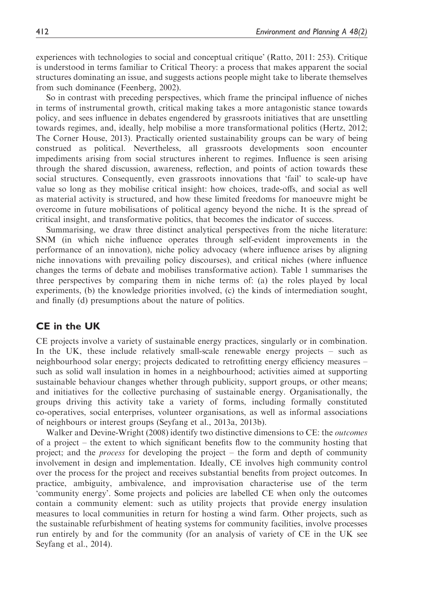experiences with technologies to social and conceptual critique' (Ratto, 2011: 253). Critique is understood in terms familiar to Critical Theory: a process that makes apparent the social structures dominating an issue, and suggests actions people might take to liberate themselves from such dominance (Feenberg, 2002).

So in contrast with preceding perspectives, which frame the principal influence of niches in terms of instrumental growth, critical making takes a more antagonistic stance towards policy, and sees influence in debates engendered by grassroots initiatives that are unsettling towards regimes, and, ideally, help mobilise a more transformational politics (Hertz, 2012; The Corner House, 2013). Practically oriented sustainability groups can be wary of being construed as political. Nevertheless, all grassroots developments soon encounter impediments arising from social structures inherent to regimes. Influence is seen arising through the shared discussion, awareness, reflection, and points of action towards these social structures. Consequently, even grassroots innovations that 'fail' to scale-up have value so long as they mobilise critical insight: how choices, trade-offs, and social as well as material activity is structured, and how these limited freedoms for manoeuvre might be overcome in future mobilisations of political agency beyond the niche. It is the spread of critical insight, and transformative politics, that becomes the indicator of success.

Summarising, we draw three distinct analytical perspectives from the niche literature: SNM (in which niche influence operates through self-evident improvements in the performance of an innovation), niche policy advocacy (where influence arises by aligning niche innovations with prevailing policy discourses), and critical niches (where influence changes the terms of debate and mobilises transformative action). Table 1 summarises the three perspectives by comparing them in niche terms of: (a) the roles played by local experiments, (b) the knowledge priorities involved, (c) the kinds of intermediation sought, and finally (d) presumptions about the nature of politics.

## CE in the UK

CE projects involve a variety of sustainable energy practices, singularly or in combination. In the UK, these include relatively small-scale renewable energy projects – such as neighbourhood solar energy; projects dedicated to retrofitting energy efficiency measures – such as solid wall insulation in homes in a neighbourhood; activities aimed at supporting sustainable behaviour changes whether through publicity, support groups, or other means; and initiatives for the collective purchasing of sustainable energy. Organisationally, the groups driving this activity take a variety of forms, including formally constituted co-operatives, social enterprises, volunteer organisations, as well as informal associations of neighbours or interest groups (Seyfang et al., 2013a, 2013b).

Walker and Devine-Wright (2008) identify two distinctive dimensions to CE: the *outcomes* of a project – the extent to which significant benefits flow to the community hosting that project; and the process for developing the project – the form and depth of community involvement in design and implementation. Ideally, CE involves high community control over the process for the project and receives substantial benefits from project outcomes. In practice, ambiguity, ambivalence, and improvisation characterise use of the term 'community energy'. Some projects and policies are labelled CE when only the outcomes contain a community element: such as utility projects that provide energy insulation measures to local communities in return for hosting a wind farm. Other projects, such as the sustainable refurbishment of heating systems for community facilities, involve processes run entirely by and for the community (for an analysis of variety of CE in the UK see Seyfang et al., 2014).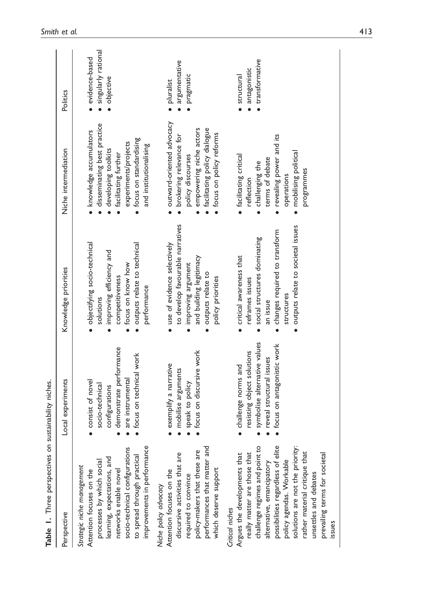| Table 1. Three perspectives on sustainability niches.                                                                                                                                                                                                                                                                                                   |                                                                                                                                             |                                                                                                                                                                              |                                                                                                                                                                                      |                                                      |
|---------------------------------------------------------------------------------------------------------------------------------------------------------------------------------------------------------------------------------------------------------------------------------------------------------------------------------------------------------|---------------------------------------------------------------------------------------------------------------------------------------------|------------------------------------------------------------------------------------------------------------------------------------------------------------------------------|--------------------------------------------------------------------------------------------------------------------------------------------------------------------------------------|------------------------------------------------------|
| Perspective                                                                                                                                                                                                                                                                                                                                             | Local experiments                                                                                                                           | Knowledge priorities                                                                                                                                                         | Niche intermediation                                                                                                                                                                 | Politics                                             |
| improvements in performance<br>socio-technical configurations<br>to spread through practical<br>learning, expectations, and<br>processes by which social<br>Strategic niche management<br>networks enable novel<br>Attention focuses on the                                                                                                             | demonstrate performance<br>focus on technical work<br>are instrumental<br>consist of novel<br>socio-technical<br>configurations             | · objectifying socio-technical<br>· outputs relate to technical<br>improving efficiency and<br>focus on know how<br>competitiveness<br>performance<br>solutions              | disseminating best practice<br>· knowledge accumulators<br>· focus on standardising<br>experiments/projects<br>and institutionalising<br>developing toolkits<br>facilitating further | singularly rational<br>evidence-based<br>· objective |
| performances that matter and<br>policy-makers that these are<br>discursive activities that are<br>which deserve support<br>Attention focuses on the<br>required to convince<br>Niche policy advocacy                                                                                                                                                    | focus on discursive work<br>exemplify a narrative<br>mobilise arguments<br>speak to policy                                                  | to develop favourable narratives<br>· use of evidence selectively<br>and building legitimacy<br>improving argument<br>outputs relate to<br>policy priorities                 | outward-oriented advocacy<br>· facilitating policy dialogue<br>empowering niche actors<br>focus on policy reforms<br>brokering relevance for<br>policy discourses                    | argumentative<br>pragmatic<br>· pluralist            |
| possibilities regardless of elite<br>challenge regimes and point to<br>solutions are not the priority:<br>rather material critique that<br>really matter are those that<br>prevailing terms for societal<br>Argues the developments that<br>policy agendas. Workable<br>alternative, emancipatory<br>unsettles and debates<br>Critical niches<br>issues | symbolise alternative values<br>focus on antagonistic work<br>resisting object solutions<br>reveal structural issues<br>challenge norms and | outputs relate to societal issues<br>changes required to transform<br>social structures dominating<br>• critical awareness that<br>reframes issues<br>structures<br>an issue | revealing power and its<br>mobilising political<br>· facilitating critical<br>terms of debate<br>challenging the<br>programmes<br>operations<br>reflection                           | transformative<br>antagonistic<br>structural         |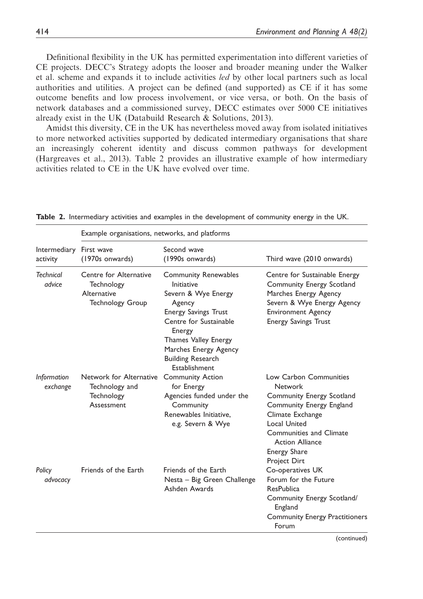Definitional flexibility in the UK has permitted experimentation into different varieties of CE projects. DECC's Strategy adopts the looser and broader meaning under the Walker et al. scheme and expands it to include activities led by other local partners such as local authorities and utilities. A project can be defined (and supported) as CE if it has some outcome benefits and low process involvement, or vice versa, or both. On the basis of network databases and a commissioned survey, DECC estimates over 5000 CE initiatives already exist in the UK (Databuild Research & Solutions, 2013).

Amidst this diversity, CE in the UK has nevertheless moved away from isolated initiatives to more networked activities supported by dedicated intermediary organisations that share an increasingly coherent identity and discuss common pathways for development (Hargreaves et al., 2013). Table 2 provides an illustrative example of how intermediary activities related to CE in the UK have evolved over time.

|                                | Example organisations, networks, and platforms                                 |                                                                                                                                                                                                                                                    |                                                                                                                                                                                                                                   |
|--------------------------------|--------------------------------------------------------------------------------|----------------------------------------------------------------------------------------------------------------------------------------------------------------------------------------------------------------------------------------------------|-----------------------------------------------------------------------------------------------------------------------------------------------------------------------------------------------------------------------------------|
| Intermediary<br>activity       | First wave<br>(1970s onwards)                                                  | Second wave<br>(1990s onwards)                                                                                                                                                                                                                     | Third wave (2010 onwards)                                                                                                                                                                                                         |
| Technical<br>advice            | Centre for Alternative<br>Technology<br>Alternative<br><b>Technology Group</b> | <b>Community Renewables</b><br><b>Initiative</b><br>Severn & Wye Energy<br>Agency<br><b>Energy Savings Trust</b><br>Centre for Sustainable<br>Energy<br>Thames Valley Energy<br>Marches Energy Agency<br><b>Building Research</b><br>Establishment | Centre for Sustainable Energy<br>Community Energy Scotland<br>Marches Energy Agency<br>Severn & Wye Energy Agency<br><b>Environment Agency</b><br><b>Energy Savings Trust</b>                                                     |
| <b>Information</b><br>exchange | Network for Alternative<br>Technology and<br><b>Technology</b><br>Assessment   | <b>Community Action</b><br>for Energy<br>Agencies funded under the<br>Community<br>Renewables Initiative.<br>e.g. Severn & Wye                                                                                                                     | Low Carbon Communities<br><b>Network</b><br>Community Energy Scotland<br>Community Energy England<br>Climate Exchange<br>Local United<br>Communities and Climate<br><b>Action Alliance</b><br><b>Energy Share</b><br>Project Dirt |
| Policy<br>advocacy             | Friends of the Earth                                                           | Friends of the Earth<br>Nesta - Big Green Challenge<br>Ashden Awards                                                                                                                                                                               | Co-operatives UK<br>Forum for the Future<br><b>ResPublica</b><br>Community Energy Scotland/<br>England<br><b>Community Energy Practitioners</b><br>Forum                                                                          |

Table 2. Intermediary activities and examples in the development of community energy in the UK.

(continued)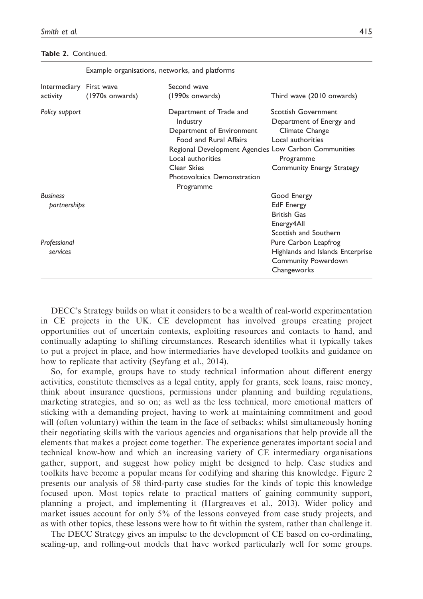#### Table 2. Continued.

|                                     |                 | <b>Example Organisations, networks, and platforms</b>                                                                                                                                                                              |                                                                                                                                  |
|-------------------------------------|-----------------|------------------------------------------------------------------------------------------------------------------------------------------------------------------------------------------------------------------------------------|----------------------------------------------------------------------------------------------------------------------------------|
| Intermediary First wave<br>activity | (1970s onwards) | Second wave<br>(1990s onwards)                                                                                                                                                                                                     | Third wave (2010 onwards)                                                                                                        |
| Policy support                      |                 | Department of Trade and<br>Industry<br>Department of Environment<br>Food and Rural Affairs<br>Regional Development Agencies Low Carbon Communities<br>Local authorities<br>Clear Skies<br>Photovoltaics Demonstration<br>Programme | Scottish Government<br>Department of Energy and<br>Climate Change<br>Local authorities<br>Programme<br>Community Energy Strategy |
| <b>Business</b><br>partnerships     |                 |                                                                                                                                                                                                                                    | Good Energy<br><b>EdF</b> Energy<br><b>British Gas</b><br>Energy4All<br>Scottish and Southern                                    |
| Professional<br>services            |                 |                                                                                                                                                                                                                                    | Pure Carbon Leapfrog<br>Highlands and Islands Enterprise<br>Community Powerdown<br>Changeworks                                   |

Example organisations, networks, and platforms

DECC's Strategy builds on what it considers to be a wealth of real-world experimentation in CE projects in the UK. CE development has involved groups creating project opportunities out of uncertain contexts, exploiting resources and contacts to hand, and continually adapting to shifting circumstances. Research identifies what it typically takes to put a project in place, and how intermediaries have developed toolkits and guidance on how to replicate that activity (Seyfang et al., 2014).

So, for example, groups have to study technical information about different energy activities, constitute themselves as a legal entity, apply for grants, seek loans, raise money, think about insurance questions, permissions under planning and building regulations, marketing strategies, and so on; as well as the less technical, more emotional matters of sticking with a demanding project, having to work at maintaining commitment and good will (often voluntary) within the team in the face of setbacks; whilst simultaneously honing their negotiating skills with the various agencies and organisations that help provide all the elements that makes a project come together. The experience generates important social and technical know-how and which an increasing variety of CE intermediary organisations gather, support, and suggest how policy might be designed to help. Case studies and toolkits have become a popular means for codifying and sharing this knowledge. Figure 2 presents our analysis of 58 third-party case studies for the kinds of topic this knowledge focused upon. Most topics relate to practical matters of gaining community support, planning a project, and implementing it (Hargreaves et al., 2013). Wider policy and market issues account for only 5% of the lessons conveyed from case study projects, and as with other topics, these lessons were how to fit within the system, rather than challenge it.

The DECC Strategy gives an impulse to the development of CE based on co-ordinating, scaling-up, and rolling-out models that have worked particularly well for some groups.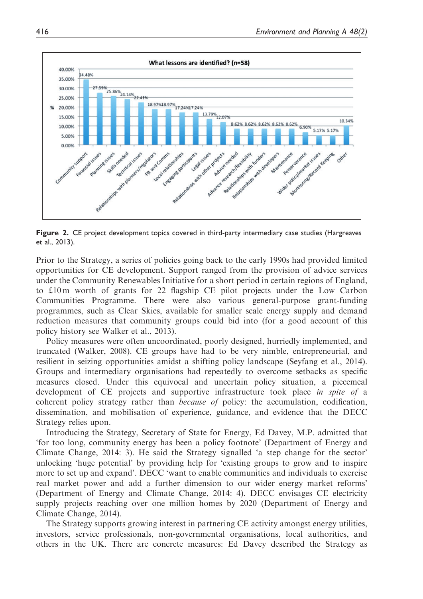

Figure 2. CE project development topics covered in third-party intermediary case studies (Hargreaves et al., 2013).

Prior to the Strategy, a series of policies going back to the early 1990s had provided limited opportunities for CE development. Support ranged from the provision of advice services under the Community Renewables Initiative for a short period in certain regions of England, to  $\text{\pounds}10 \text{ m}$  worth of grants for 22 flagship CE pilot projects under the Low Carbon Communities Programme. There were also various general-purpose grant-funding programmes, such as Clear Skies, available for smaller scale energy supply and demand reduction measures that community groups could bid into (for a good account of this policy history see Walker et al., 2013).

Policy measures were often uncoordinated, poorly designed, hurriedly implemented, and truncated (Walker, 2008). CE groups have had to be very nimble, entrepreneurial, and resilient in seizing opportunities amidst a shifting policy landscape (Seyfang et al., 2014). Groups and intermediary organisations had repeatedly to overcome setbacks as specific measures closed. Under this equivocal and uncertain policy situation, a piecemeal development of CE projects and supportive infrastructure took place in spite of a coherent policy strategy rather than because of policy: the accumulation, codification, dissemination, and mobilisation of experience, guidance, and evidence that the DECC Strategy relies upon.

Introducing the Strategy, Secretary of State for Energy, Ed Davey, M.P. admitted that 'for too long, community energy has been a policy footnote' (Department of Energy and Climate Change, 2014: 3). He said the Strategy signalled 'a step change for the sector' unlocking 'huge potential' by providing help for 'existing groups to grow and to inspire more to set up and expand'. DECC 'want to enable communities and individuals to exercise real market power and add a further dimension to our wider energy market reforms' (Department of Energy and Climate Change, 2014: 4). DECC envisages CE electricity supply projects reaching over one million homes by 2020 (Department of Energy and Climate Change, 2014).

The Strategy supports growing interest in partnering CE activity amongst energy utilities, investors, service professionals, non-governmental organisations, local authorities, and others in the UK. There are concrete measures: Ed Davey described the Strategy as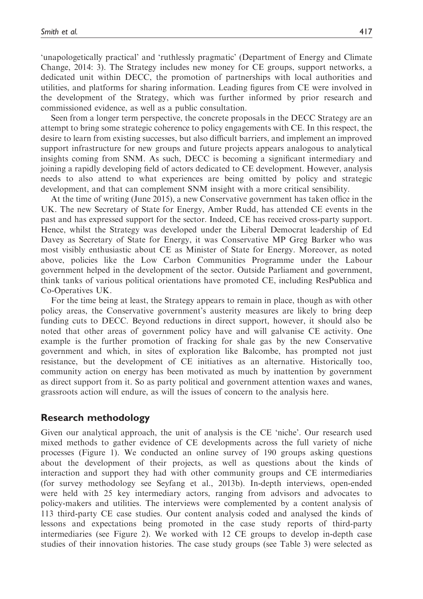'unapologetically practical' and 'ruthlessly pragmatic' (Department of Energy and Climate Change, 2014: 3). The Strategy includes new money for CE groups, support networks, a dedicated unit within DECC, the promotion of partnerships with local authorities and utilities, and platforms for sharing information. Leading figures from CE were involved in the development of the Strategy, which was further informed by prior research and commissioned evidence, as well as a public consultation.

Seen from a longer term perspective, the concrete proposals in the DECC Strategy are an attempt to bring some strategic coherence to policy engagements with CE. In this respect, the desire to learn from existing successes, but also difficult barriers, and implement an improved support infrastructure for new groups and future projects appears analogous to analytical insights coming from SNM. As such, DECC is becoming a significant intermediary and joining a rapidly developing field of actors dedicated to CE development. However, analysis needs to also attend to what experiences are being omitted by policy and strategic development, and that can complement SNM insight with a more critical sensibility.

At the time of writing (June 2015), a new Conservative government has taken office in the UK. The new Secretary of State for Energy, Amber Rudd, has attended CE events in the past and has expressed support for the sector. Indeed, CE has received cross-party support. Hence, whilst the Strategy was developed under the Liberal Democrat leadership of Ed Davey as Secretary of State for Energy, it was Conservative MP Greg Barker who was most visibly enthusiastic about CE as Minister of State for Energy. Moreover, as noted above, policies like the Low Carbon Communities Programme under the Labour government helped in the development of the sector. Outside Parliament and government, think tanks of various political orientations have promoted CE, including ResPublica and Co-Operatives UK.

For the time being at least, the Strategy appears to remain in place, though as with other policy areas, the Conservative government's austerity measures are likely to bring deep funding cuts to DECC. Beyond reductions in direct support, however, it should also be noted that other areas of government policy have and will galvanise CE activity. One example is the further promotion of fracking for shale gas by the new Conservative government and which, in sites of exploration like Balcombe, has prompted not just resistance, but the development of CE initiatives as an alternative. Historically too, community action on energy has been motivated as much by inattention by government as direct support from it. So as party political and government attention waxes and wanes, grassroots action will endure, as will the issues of concern to the analysis here.

#### Research methodology

Given our analytical approach, the unit of analysis is the CE 'niche'. Our research used mixed methods to gather evidence of CE developments across the full variety of niche processes (Figure 1). We conducted an online survey of 190 groups asking questions about the development of their projects, as well as questions about the kinds of interaction and support they had with other community groups and CE intermediaries (for survey methodology see Seyfang et al., 2013b). In-depth interviews, open-ended were held with 25 key intermediary actors, ranging from advisors and advocates to policy-makers and utilities. The interviews were complemented by a content analysis of 113 third-party CE case studies. Our content analysis coded and analysed the kinds of lessons and expectations being promoted in the case study reports of third-party intermediaries (see Figure 2). We worked with 12 CE groups to develop in-depth case studies of their innovation histories. The case study groups (see Table 3) were selected as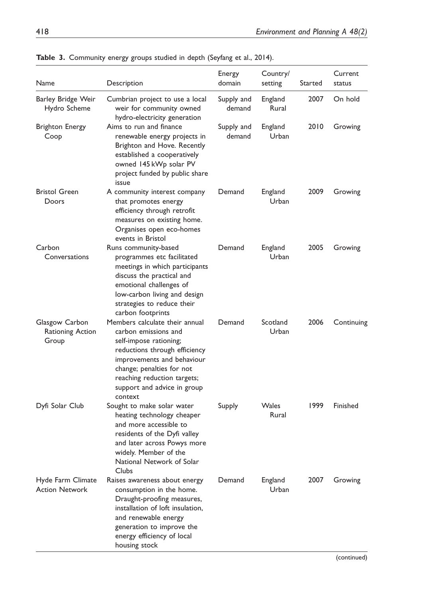| Name                                        | Description                                                                                                                                                                                                                                           | Energy<br>domain     | Country/<br>setting | Started | Current<br>status |
|---------------------------------------------|-------------------------------------------------------------------------------------------------------------------------------------------------------------------------------------------------------------------------------------------------------|----------------------|---------------------|---------|-------------------|
| Barley Bridge Weir<br>Hydro Scheme          | Cumbrian project to use a local<br>weir for community owned<br>hydro-electricity generation                                                                                                                                                           | Supply and<br>demand | England<br>Rural    | 2007    | On hold           |
| Brighton Energy<br>Coop                     | Aims to run and finance<br>renewable energy projects in<br>Brighton and Hove. Recently<br>established a cooperatively<br>owned 145 kWp solar PV<br>project funded by public share<br>issue                                                            | Supply and<br>demand | England<br>Urban    | 2010    | Growing           |
| <b>Bristol Green</b><br>Doors               | A community interest company<br>that promotes energy<br>efficiency through retrofit<br>measures on existing home.<br>Organises open eco-homes<br>events in Bristol                                                                                    | Demand               | England<br>Urban    | 2009    | Growing           |
| Carbon<br>Conversations                     | Runs community-based<br>programmes etc facilitated<br>meetings in which participants<br>discuss the practical and<br>emotional challenges of<br>low-carbon living and design<br>strategies to reduce their<br>carbon footprints                       | Demand               | England<br>Urban    | 2005    | Growing           |
| Glasgow Carbon<br>Rationing Action<br>Group | Members calculate their annual<br>carbon emissions and<br>self-impose rationing;<br>reductions through efficiency<br>improvements and behaviour<br>change; penalties for not<br>reaching reduction targets;<br>support and advice in group<br>context | Demand               | Scotland<br>Urban   | 2006    | Continuing        |
| Dyfi Solar Club                             | Sought to make solar water<br>heating technology cheaper<br>and more accessible to<br>residents of the Dyfi valley<br>and later across Powys more<br>widely. Member of the<br>National Network of Solar<br>Clubs                                      | Supply               | Wales<br>Rural      | 1999    | Finished          |
| Hyde Farm Climate<br><b>Action Network</b>  | Raises awareness about energy<br>consumption in the home.<br>Draught-proofing measures,<br>installation of loft insulation,<br>and renewable energy<br>generation to improve the<br>energy efficiency of local<br>housing stock                       | Demand               | England<br>Urban    | 2007    | Growing           |

Table 3. Community energy groups studied in depth (Seyfang et al., 2014).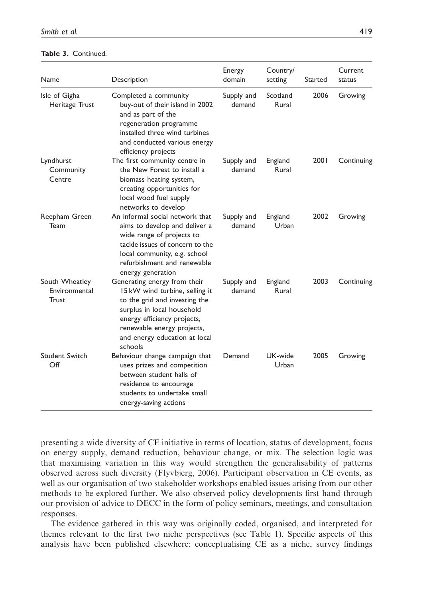| Table 3. Continued. |  |  |
|---------------------|--|--|
|---------------------|--|--|

| Name                                            | Description                                                                                                                                                                                                                            | Energy<br>domain     | Country/<br>setting | Started | Current<br>status |
|-------------------------------------------------|----------------------------------------------------------------------------------------------------------------------------------------------------------------------------------------------------------------------------------------|----------------------|---------------------|---------|-------------------|
| Isle of Gigha<br>Heritage Trust                 | Completed a community<br>buy-out of their island in 2002<br>and as part of the<br>regeneration programme<br>installed three wind turbines<br>and conducted various energy<br>efficiency projects                                       | Supply and<br>demand | Scotland<br>Rural   | 2006    | Growing           |
| Lyndhurst<br>Community<br>Centre                | The first community centre in<br>the New Forest to install a<br>biomass heating system,<br>creating opportunities for<br>local wood fuel supply<br>networks to develop                                                                 | Supply and<br>demand | England<br>Rural    | 2001    | Continuing        |
| Reepham Green<br>Team                           | An informal social network that<br>aims to develop and deliver a<br>wide range of projects to<br>tackle issues of concern to the<br>local community, e.g. school<br>refurbishment and renewable<br>energy generation                   | Supply and<br>demand | England<br>Urban    | 2002    | Growing           |
| South Wheatley<br>Environmental<br><b>Trust</b> | Generating energy from their<br>15 kW wind turbine, selling it<br>to the grid and investing the<br>surplus in local household<br>energy efficiency projects,<br>renewable energy projects,<br>and energy education at local<br>schools | Supply and<br>demand | England<br>Rural    | 2003    | Continuing        |
| Student Switch<br>Off                           | Behaviour change campaign that<br>uses prizes and competition<br>between student halls of<br>residence to encourage<br>students to undertake small<br>energy-saving actions                                                            | Demand               | UK-wide<br>Urban    | 2005    | Growing           |

presenting a wide diversity of CE initiative in terms of location, status of development, focus on energy supply, demand reduction, behaviour change, or mix. The selection logic was that maximising variation in this way would strengthen the generalisability of patterns observed across such diversity (Flyvbjerg, 2006). Participant observation in CE events, as well as our organisation of two stakeholder workshops enabled issues arising from our other methods to be explored further. We also observed policy developments first hand through our provision of advice to DECC in the form of policy seminars, meetings, and consultation responses.

The evidence gathered in this way was originally coded, organised, and interpreted for themes relevant to the first two niche perspectives (see Table 1). Specific aspects of this analysis have been published elsewhere: conceptualising CE as a niche, survey findings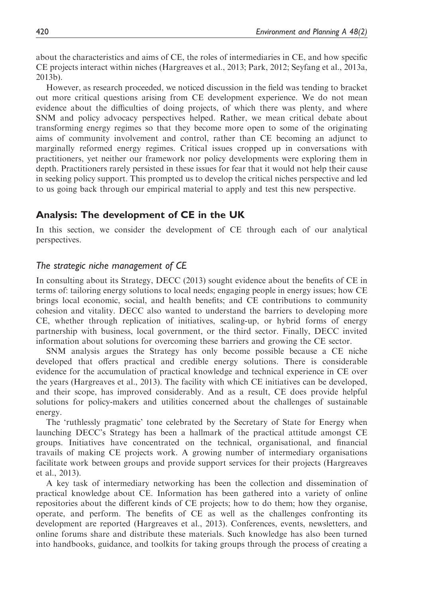about the characteristics and aims of CE, the roles of intermediaries in CE, and how specific CE projects interact within niches (Hargreaves et al., 2013; Park, 2012; Seyfang et al., 2013a, 2013b).

However, as research proceeded, we noticed discussion in the field was tending to bracket out more critical questions arising from CE development experience. We do not mean evidence about the difficulties of doing projects, of which there was plenty, and where SNM and policy advocacy perspectives helped. Rather, we mean critical debate about transforming energy regimes so that they become more open to some of the originating aims of community involvement and control, rather than CE becoming an adjunct to marginally reformed energy regimes. Critical issues cropped up in conversations with practitioners, yet neither our framework nor policy developments were exploring them in depth. Practitioners rarely persisted in these issues for fear that it would not help their cause in seeking policy support. This prompted us to develop the critical niches perspective and led to us going back through our empirical material to apply and test this new perspective.

## Analysis: The development of CE in the UK

In this section, we consider the development of CE through each of our analytical perspectives.

#### The strategic niche management of CE

In consulting about its Strategy, DECC (2013) sought evidence about the benefits of CE in terms of: tailoring energy solutions to local needs; engaging people in energy issues; how CE brings local economic, social, and health benefits; and CE contributions to community cohesion and vitality. DECC also wanted to understand the barriers to developing more CE, whether through replication of initiatives, scaling-up, or hybrid forms of energy partnership with business, local government, or the third sector. Finally, DECC invited information about solutions for overcoming these barriers and growing the CE sector.

SNM analysis argues the Strategy has only become possible because a CE niche developed that offers practical and credible energy solutions. There is considerable evidence for the accumulation of practical knowledge and technical experience in CE over the years (Hargreaves et al., 2013). The facility with which CE initiatives can be developed, and their scope, has improved considerably. And as a result, CE does provide helpful solutions for policy-makers and utilities concerned about the challenges of sustainable energy.

The 'ruthlessly pragmatic' tone celebrated by the Secretary of State for Energy when launching DECC's Strategy has been a hallmark of the practical attitude amongst CE groups. Initiatives have concentrated on the technical, organisational, and financial travails of making CE projects work. A growing number of intermediary organisations facilitate work between groups and provide support services for their projects (Hargreaves et al., 2013).

A key task of intermediary networking has been the collection and dissemination of practical knowledge about CE. Information has been gathered into a variety of online repositories about the different kinds of CE projects; how to do them; how they organise, operate, and perform. The benefits of CE as well as the challenges confronting its development are reported (Hargreaves et al., 2013). Conferences, events, newsletters, and online forums share and distribute these materials. Such knowledge has also been turned into handbooks, guidance, and toolkits for taking groups through the process of creating a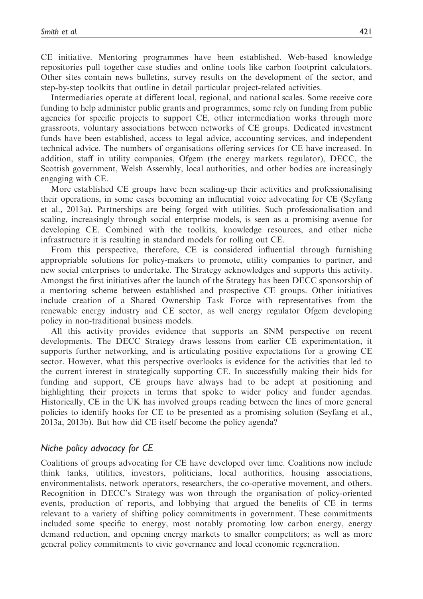CE initiative. Mentoring programmes have been established. Web-based knowledge repositories pull together case studies and online tools like carbon footprint calculators. Other sites contain news bulletins, survey results on the development of the sector, and step-by-step toolkits that outline in detail particular project-related activities.

Intermediaries operate at different local, regional, and national scales. Some receive core funding to help administer public grants and programmes, some rely on funding from public agencies for specific projects to support CE, other intermediation works through more grassroots, voluntary associations between networks of CE groups. Dedicated investment funds have been established, access to legal advice, accounting services, and independent technical advice. The numbers of organisations offering services for CE have increased. In addition, staff in utility companies, Ofgem (the energy markets regulator), DECC, the Scottish government, Welsh Assembly, local authorities, and other bodies are increasingly engaging with CE.

More established CE groups have been scaling-up their activities and professionalising their operations, in some cases becoming an influential voice advocating for CE (Seyfang et al., 2013a). Partnerships are being forged with utilities. Such professionalisation and scaling, increasingly through social enterprise models, is seen as a promising avenue for developing CE. Combined with the toolkits, knowledge resources, and other niche infrastructure it is resulting in standard models for rolling out CE.

From this perspective, therefore, CE is considered influential through furnishing appropriable solutions for policy-makers to promote, utility companies to partner, and new social enterprises to undertake. The Strategy acknowledges and supports this activity. Amongst the first initiatives after the launch of the Strategy has been DECC sponsorship of a mentoring scheme between established and prospective CE groups. Other initiatives include creation of a Shared Ownership Task Force with representatives from the renewable energy industry and CE sector, as well energy regulator Ofgem developing policy in non-traditional business models.

All this activity provides evidence that supports an SNM perspective on recent developments. The DECC Strategy draws lessons from earlier CE experimentation, it supports further networking, and is articulating positive expectations for a growing CE sector. However, what this perspective overlooks is evidence for the activities that led to the current interest in strategically supporting CE. In successfully making their bids for funding and support, CE groups have always had to be adept at positioning and highlighting their projects in terms that spoke to wider policy and funder agendas. Historically, CE in the UK has involved groups reading between the lines of more general policies to identify hooks for CE to be presented as a promising solution (Seyfang et al., 2013a, 2013b). But how did CE itself become the policy agenda?

#### Niche policy advocacy for CE

Coalitions of groups advocating for CE have developed over time. Coalitions now include think tanks, utilities, investors, politicians, local authorities, housing associations, environmentalists, network operators, researchers, the co-operative movement, and others. Recognition in DECC's Strategy was won through the organisation of policy-oriented events, production of reports, and lobbying that argued the benefits of CE in terms relevant to a variety of shifting policy commitments in government. These commitments included some specific to energy, most notably promoting low carbon energy, energy demand reduction, and opening energy markets to smaller competitors; as well as more general policy commitments to civic governance and local economic regeneration.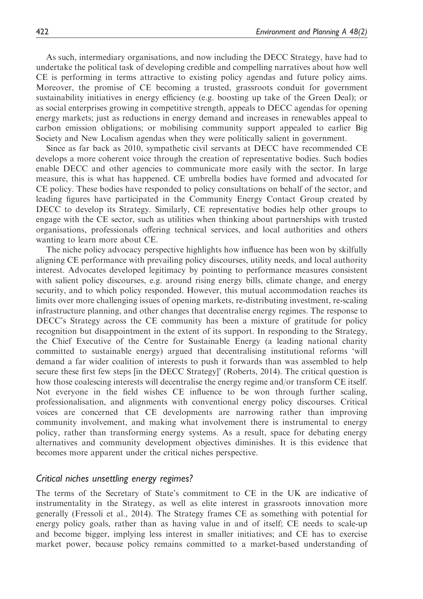As such, intermediary organisations, and now including the DECC Strategy, have had to undertake the political task of developing credible and compelling narratives about how well CE is performing in terms attractive to existing policy agendas and future policy aims. Moreover, the promise of CE becoming a trusted, grassroots conduit for government sustainability initiatives in energy efficiency (e.g. boosting up take of the Green Deal); or as social enterprises growing in competitive strength, appeals to DECC agendas for opening energy markets; just as reductions in energy demand and increases in renewables appeal to carbon emission obligations; or mobilising community support appealed to earlier Big Society and New Localism agendas when they were politically salient in government.

Since as far back as 2010, sympathetic civil servants at DECC have recommended CE develops a more coherent voice through the creation of representative bodies. Such bodies enable DECC and other agencies to communicate more easily with the sector. In large measure, this is what has happened. CE umbrella bodies have formed and advocated for CE policy. These bodies have responded to policy consultations on behalf of the sector, and leading figures have participated in the Community Energy Contact Group created by DECC to develop its Strategy. Similarly, CE representative bodies help other groups to engage with the CE sector, such as utilities when thinking about partnerships with trusted organisations, professionals offering technical services, and local authorities and others wanting to learn more about CE.

The niche policy advocacy perspective highlights how influence has been won by skilfully aligning CE performance with prevailing policy discourses, utility needs, and local authority interest. Advocates developed legitimacy by pointing to performance measures consistent with salient policy discourses, e.g. around rising energy bills, climate change, and energy security, and to which policy responded. However, this mutual accommodation reaches its limits over more challenging issues of opening markets, re-distributing investment, re-scaling infrastructure planning, and other changes that decentralise energy regimes. The response to DECC's Strategy across the CE community has been a mixture of gratitude for policy recognition but disappointment in the extent of its support. In responding to the Strategy, the Chief Executive of the Centre for Sustainable Energy (a leading national charity committed to sustainable energy) argued that decentralising institutional reforms 'will demand a far wider coalition of interests to push it forwards than was assembled to help secure these first few steps [in the DECC Strategy]' (Roberts, 2014). The critical question is how those coalescing interests will decentralise the energy regime and/or transform CE itself. Not everyone in the field wishes CE influence to be won through further scaling, professionalisation, and alignments with conventional energy policy discourses. Critical voices are concerned that CE developments are narrowing rather than improving community involvement, and making what involvement there is instrumental to energy policy, rather than transforming energy systems. As a result, space for debating energy alternatives and community development objectives diminishes. It is this evidence that becomes more apparent under the critical niches perspective.

#### Critical niches unsettling energy regimes?

The terms of the Secretary of State's commitment to CE in the UK are indicative of instrumentality in the Strategy, as well as elite interest in grassroots innovation more generally (Fressoli et al., 2014). The Strategy frames CE as something with potential for energy policy goals, rather than as having value in and of itself; CE needs to scale-up and become bigger, implying less interest in smaller initiatives; and CE has to exercise market power, because policy remains committed to a market-based understanding of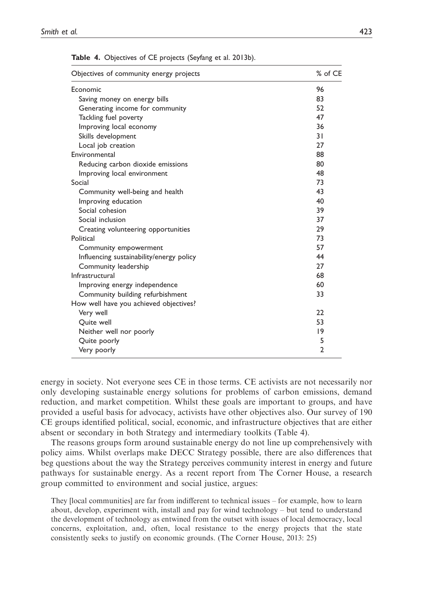| Objectives of community energy projects  | % of CE      |
|------------------------------------------|--------------|
| Economic                                 | 96           |
| Saving money on energy bills             | 83           |
| Generating income for community          | 52           |
| Tackling fuel poverty                    | 47           |
| Improving local economy                  | 36           |
| Skills development                       | 31           |
| Local job creation                       | 27           |
| Environmental                            | 88           |
| Reducing carbon dioxide emissions        | 80           |
| Improving local environment              | 48           |
| Social                                   | 73           |
| Community well-being and health          | 43           |
| Improving education                      | 40           |
| Social cohesion                          | 39           |
| Social inclusion                         | 37           |
| Creating volunteering opportunities      | 29           |
| Political                                | 73           |
| Community empowerment                    | 57           |
| Influencing sustainability/energy policy | 44           |
| Community leadership                     | 27           |
| Infrastructural                          | 68           |
| Improving energy independence            | 60           |
| Community building refurbishment         | 33           |
| How well have you achieved objectives?   |              |
| Very well                                | 22           |
| Quite well                               | 53           |
| Neither well nor poorly                  | 9            |
| Quite poorly                             | 5            |
| Very poorly                              | $\mathbf{2}$ |

Table 4. Objectives of CE projects (Seyfang et al. 2013b).

energy in society. Not everyone sees CE in those terms. CE activists are not necessarily nor only developing sustainable energy solutions for problems of carbon emissions, demand reduction, and market competition. Whilst these goals are important to groups, and have provided a useful basis for advocacy, activists have other objectives also. Our survey of 190 CE groups identified political, social, economic, and infrastructure objectives that are either absent or secondary in both Strategy and intermediary toolkits (Table 4).

The reasons groups form around sustainable energy do not line up comprehensively with policy aims. Whilst overlaps make DECC Strategy possible, there are also differences that beg questions about the way the Strategy perceives community interest in energy and future pathways for sustainable energy. As a recent report from The Corner House, a research group committed to environment and social justice, argues:

They [local communities] are far from indifferent to technical issues – for example, how to learn about, develop, experiment with, install and pay for wind technology – but tend to understand the development of technology as entwined from the outset with issues of local democracy, local concerns, exploitation, and, often, local resistance to the energy projects that the state consistently seeks to justify on economic grounds. (The Corner House, 2013: 25)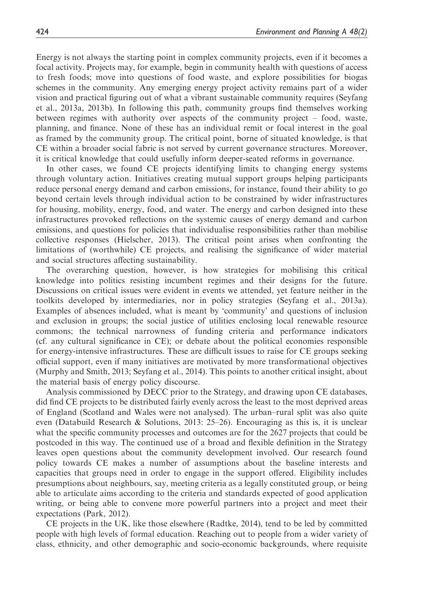Energy is not always the starting point in complex community projects, even if it becomes a focal activity. Projects may, for example, begin in community health with questions of access to fresh foods; move into questions of food waste, and explore possibilities for biogas schemes in the community. Any emerging energy project activity remains part of a wider vision and practical figuring out of what a vibrant sustainable community requires (Seyfang et al., 2013a, 2013b). In following this path, community groups find themselves working between regimes with authority over aspects of the community project – food, waste, planning, and finance. None of these has an individual remit or focal interest in the goal as framed by the community group. The critical point, borne of situated knowledge, is that CE within a broader social fabric is not served by current governance structures. Moreover, it is critical knowledge that could usefully inform deeper-seated reforms in governance.

In other cases, we found CE projects identifying limits to changing energy systems through voluntary action. Initiatives creating mutual support groups helping participants reduce personal energy demand and carbon emissions, for instance, found their ability to go beyond certain levels through individual action to be constrained by wider infrastructures for housing, mobility, energy, food, and water. The energy and carbon designed into these infrastructures provoked reflections on the systemic causes of energy demand and carbon emissions, and questions for policies that individualise responsibilities rather than mobilise collective responses (Hielscher, 2013). The critical point arises when confronting the limitations of (worthwhile) CE projects, and realising the significance of wider material and social structures affecting sustainability.

The overarching question, however, is how strategies for mobilising this critical knowledge into politics resisting incumbent regimes and their designs for the future. Discussions on critical issues were evident in events we attended, yet feature neither in the toolkits developed by intermediaries, nor in policy strategies (Seyfang et al., 2013a). Examples of absences included, what is meant by 'community' and questions of inclusion and exclusion in groups; the social justice of utilities enclosing local renewable resource commons; the technical narrowness of funding criteria and performance indicators (cf. any cultural significance in CE); or debate about the political economies responsible for energy-intensive infrastructures. These are difficult issues to raise for CE groups seeking official support, even if many initiatives are motivated by more transformational objectives (Murphy and Smith, 2013; Seyfang et al., 2014). This points to another critical insight, about the material basis of energy policy discourse.

Analysis commissioned by DECC prior to the Strategy, and drawing upon CE databases, did find CE projects to be distributed fairly evenly across the least to the most deprived areas of England (Scotland and Wales were not analysed). The urban–rural split was also quite even (Databuild Research & Solutions, 2013: 25–26). Encouraging as this is, it is unclear what the specific community processes and outcomes are for the 2627 projects that could be postcoded in this way. The continued use of a broad and flexible definition in the Strategy leaves open questions about the community development involved. Our research found policy towards CE makes a number of assumptions about the baseline interests and capacities that groups need in order to engage in the support offered. Eligibility includes presumptions about neighbours, say, meeting criteria as a legally constituted group, or being able to articulate aims according to the criteria and standards expected of good application writing, or being able to convene more powerful partners into a project and meet their expectations (Park, 2012).

CE projects in the UK, like those elsewhere (Radtke, 2014), tend to be led by committed people with high levels of formal education. Reaching out to people from a wider variety of class, ethnicity, and other demographic and socio-economic backgrounds, where requisite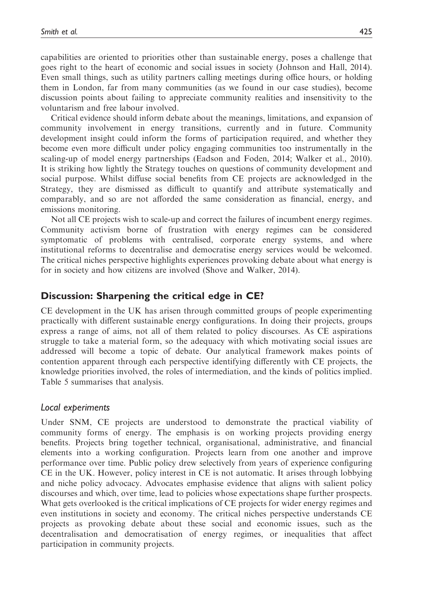capabilities are oriented to priorities other than sustainable energy, poses a challenge that goes right to the heart of economic and social issues in society (Johnson and Hall, 2014). Even small things, such as utility partners calling meetings during office hours, or holding them in London, far from many communities (as we found in our case studies), become discussion points about failing to appreciate community realities and insensitivity to the voluntarism and free labour involved.

Critical evidence should inform debate about the meanings, limitations, and expansion of community involvement in energy transitions, currently and in future. Community development insight could inform the forms of participation required, and whether they become even more difficult under policy engaging communities too instrumentally in the scaling-up of model energy partnerships (Eadson and Foden, 2014; Walker et al., 2010). It is striking how lightly the Strategy touches on questions of community development and social purpose. Whilst diffuse social benefits from CE projects are acknowledged in the Strategy, they are dismissed as difficult to quantify and attribute systematically and comparably, and so are not afforded the same consideration as financial, energy, and emissions monitoring.

Not all CE projects wish to scale-up and correct the failures of incumbent energy regimes. Community activism borne of frustration with energy regimes can be considered symptomatic of problems with centralised, corporate energy systems, and where institutional reforms to decentralise and democratise energy services would be welcomed. The critical niches perspective highlights experiences provoking debate about what energy is for in society and how citizens are involved (Shove and Walker, 2014).

## Discussion: Sharpening the critical edge in CE?

CE development in the UK has arisen through committed groups of people experimenting practically with different sustainable energy configurations. In doing their projects, groups express a range of aims, not all of them related to policy discourses. As CE aspirations struggle to take a material form, so the adequacy with which motivating social issues are addressed will become a topic of debate. Our analytical framework makes points of contention apparent through each perspective identifying differently with CE projects, the knowledge priorities involved, the roles of intermediation, and the kinds of politics implied. Table 5 summarises that analysis.

## Local experiments

Under SNM, CE projects are understood to demonstrate the practical viability of community forms of energy. The emphasis is on working projects providing energy benefits. Projects bring together technical, organisational, administrative, and financial elements into a working configuration. Projects learn from one another and improve performance over time. Public policy drew selectively from years of experience configuring CE in the UK. However, policy interest in CE is not automatic. It arises through lobbying and niche policy advocacy. Advocates emphasise evidence that aligns with salient policy discourses and which, over time, lead to policies whose expectations shape further prospects. What gets overlooked is the critical implications of CE projects for wider energy regimes and even institutions in society and economy. The critical niches perspective understands CE projects as provoking debate about these social and economic issues, such as the decentralisation and democratisation of energy regimes, or inequalities that affect participation in community projects.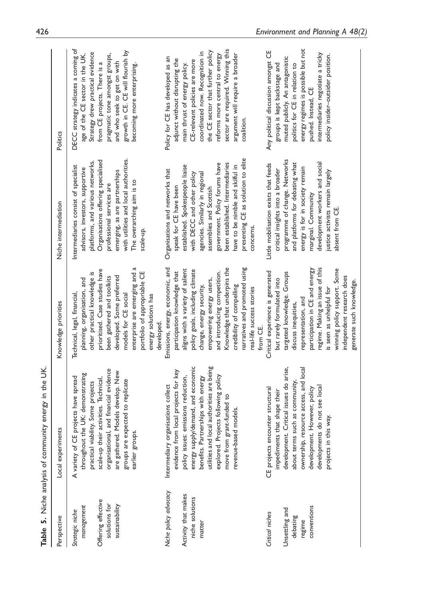|                                                       | Table 5. Niche analysis of community energy in the UK                                                                                                                        |                                                                                                                                                                                                                             |                                                                                                                                                                                                                         |                                                                                                                                                                                              |
|-------------------------------------------------------|------------------------------------------------------------------------------------------------------------------------------------------------------------------------------|-----------------------------------------------------------------------------------------------------------------------------------------------------------------------------------------------------------------------------|-------------------------------------------------------------------------------------------------------------------------------------------------------------------------------------------------------------------------|----------------------------------------------------------------------------------------------------------------------------------------------------------------------------------------------|
| Perspective                                           | Local experiments                                                                                                                                                            | Knowledge priorities                                                                                                                                                                                                        | Niche intermediation                                                                                                                                                                                                    | Politics                                                                                                                                                                                     |
| management<br>Strategic niche                         | throughout the UK: demonstrating<br>A variety of CE projects have spread<br>practical viability. Some projects                                                               | other practical knowledge is<br>planning, organisation, and<br>Technical, legal, financial,                                                                                                                                 | platforms, and various networks.<br>Intermediaries consist of specialist<br>advisors, investors, supportive                                                                                                             | DECC strategy indicates a coming of<br>Strategy drew practical evidence<br>age of the CE sector in the UK.                                                                                   |
| Offering effective<br>solutions for<br>sustainability | organisational, and financial evidence<br>are gathered. Models develop. New<br>scale-up their activities. Technical,<br>groups are expected to replicate<br>earlier groups.  | enterprise are emerging and a<br>prioritised. Case studies have<br>portfolio of appropriable CE<br>developed. Some preferred<br>been gathered and toolkits<br>models for CE social                                          | with utilities and local authorities.<br>Organisations offering specialised<br>emerging, as are partnerships<br>The overarching aim is to<br>professional services are<br>scale-up.                                     | growth in CE. CE will flourish by<br>pragmatic tone amongst groups,<br>and who seek to get on with<br>from CE projects. There is a<br>becoming more enterprising.                            |
| Niche policy advocacy                                 | Intermediary organisations collect                                                                                                                                           | Emissions, energy, economic, and<br>energy solutions has<br>developed.                                                                                                                                                      | Organisations and networks that                                                                                                                                                                                         | Policy for CE has developed as an                                                                                                                                                            |
| Activity that makes<br>niche solutions                | energy supply/demand, and economic<br>ocal projects for key<br>policy issues: emissions reduction,<br>evidence from I                                                        | aligns with a variety of salient<br>policy goals, including climate<br>participation knowledge that                                                                                                                         | established. Spokespeople liaise<br>with DECC and other policy<br>speak for CE have been                                                                                                                                | adjunct without disrupting the<br>CE-relevant policies are more<br>main thrust of energy policy.                                                                                             |
| matter                                                | utilities and local authorities are being<br>explored. Projects following policy<br>benefits. Partnerships with energy<br>move from grant-funded to<br>revenue-based models. | narratives and promoted using<br>Knowledge that underpins the<br>and introducing competition.<br>empowering energy users,<br>change, energy security,<br>credibility of compelling<br>real-life success stories<br>from CE. | presenting CE as solution to elite<br>been established. Intermediaries<br>government. Policy forums have<br>have to be nimble and skilful in<br>agencies. Similarly in regional<br>assemblies and Scottish<br>concerns. | sector are required. Winning this<br>the CE sector that further policy<br>coordinated now. Recognition in<br>argument will require a broader<br>reforms more central to energy<br>coalition. |
| Critical niches                                       | CE projects encounter structural<br>impediments that shape their                                                                                                             | Critical experience is generated<br>but rarely formulated into                                                                                                                                                              | Little mobilisation exists that feeds<br>critical insights into a broader                                                                                                                                               | Any political discussion amongst CE<br>groups is kept backstage and                                                                                                                          |
| Unsettling and<br>debating<br>regime                  | development. Critical issues do arise,<br>ownership, resource access, and local<br>about terms such as community,                                                            | targeted knowledge. Groups<br>representation, and<br>discuss inequities,                                                                                                                                                    | programme of change. Networks<br>and platforms for debating what<br>energy is for in society remain                                                                                                                     | energy regimes is possible but not<br>muted publicly. An antagonistic<br>politics for CE in relation to                                                                                      |
| conventions                                           | developments do not see local<br>development. However, policy<br>projects in this way.                                                                                       | regime. Making an issue of this<br>participation in CE and energy<br>winning policy support. Some<br>independent research does<br>generate such knowledge.<br>is seen as unhelpful for                                      | development workers and social<br>justice activists remain largely<br>marginal. Community<br>absent from CE.                                                                                                            | intermediaries negotiate a tricky<br>policy insider-outsider position.<br>pushed. Instead, CE                                                                                                |
|                                                       |                                                                                                                                                                              |                                                                                                                                                                                                                             |                                                                                                                                                                                                                         |                                                                                                                                                                                              |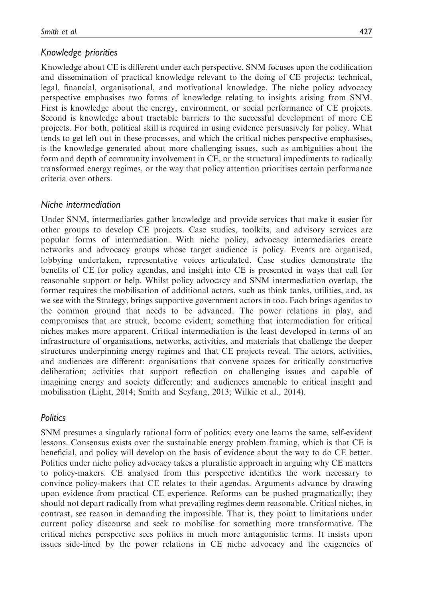## Knowledge priorities

Knowledge about CE is different under each perspective. SNM focuses upon the codification and dissemination of practical knowledge relevant to the doing of CE projects: technical, legal, financial, organisational, and motivational knowledge. The niche policy advocacy perspective emphasises two forms of knowledge relating to insights arising from SNM. First is knowledge about the energy, environment, or social performance of CE projects. Second is knowledge about tractable barriers to the successful development of more CE projects. For both, political skill is required in using evidence persuasively for policy. What tends to get left out in these processes, and which the critical niches perspective emphasises, is the knowledge generated about more challenging issues, such as ambiguities about the form and depth of community involvement in CE, or the structural impediments to radically transformed energy regimes, or the way that policy attention prioritises certain performance criteria over others.

## Niche intermediation

Under SNM, intermediaries gather knowledge and provide services that make it easier for other groups to develop CE projects. Case studies, toolkits, and advisory services are popular forms of intermediation. With niche policy, advocacy intermediaries create networks and advocacy groups whose target audience is policy. Events are organised, lobbying undertaken, representative voices articulated. Case studies demonstrate the benefits of CE for policy agendas, and insight into CE is presented in ways that call for reasonable support or help. Whilst policy advocacy and SNM intermediation overlap, the former requires the mobilisation of additional actors, such as think tanks, utilities, and, as we see with the Strategy, brings supportive government actors in too. Each brings agendas to the common ground that needs to be advanced. The power relations in play, and compromises that are struck, become evident; something that intermediation for critical niches makes more apparent. Critical intermediation is the least developed in terms of an infrastructure of organisations, networks, activities, and materials that challenge the deeper structures underpinning energy regimes and that CE projects reveal. The actors, activities, and audiences are different: organisations that convene spaces for critically constructive deliberation; activities that support reflection on challenging issues and capable of imagining energy and society differently; and audiences amenable to critical insight and mobilisation (Light, 2014; Smith and Seyfang, 2013; Wilkie et al., 2014).

## **Politics**

SNM presumes a singularly rational form of politics: every one learns the same, self-evident lessons. Consensus exists over the sustainable energy problem framing, which is that CE is beneficial, and policy will develop on the basis of evidence about the way to do CE better. Politics under niche policy advocacy takes a pluralistic approach in arguing why CE matters to policy-makers. CE analysed from this perspective identifies the work necessary to convince policy-makers that CE relates to their agendas. Arguments advance by drawing upon evidence from practical CE experience. Reforms can be pushed pragmatically; they should not depart radically from what prevailing regimes deem reasonable. Critical niches, in contrast, see reason in demanding the impossible. That is, they point to limitations under current policy discourse and seek to mobilise for something more transformative. The critical niches perspective sees politics in much more antagonistic terms. It insists upon issues side-lined by the power relations in CE niche advocacy and the exigencies of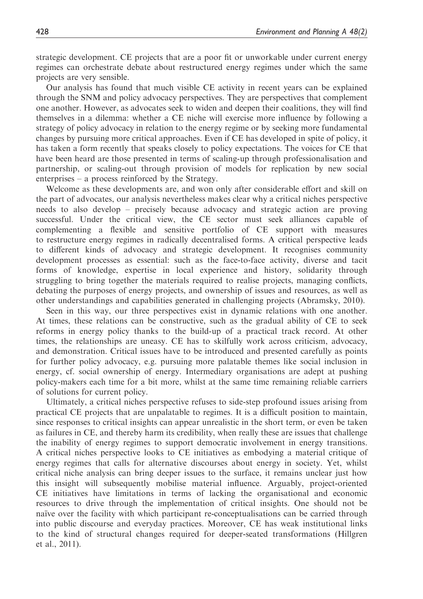strategic development. CE projects that are a poor fit or unworkable under current energy regimes can orchestrate debate about restructured energy regimes under which the same projects are very sensible.

Our analysis has found that much visible CE activity in recent years can be explained through the SNM and policy advocacy perspectives. They are perspectives that complement one another. However, as advocates seek to widen and deepen their coalitions, they will find themselves in a dilemma: whether a CE niche will exercise more influence by following a strategy of policy advocacy in relation to the energy regime or by seeking more fundamental changes by pursuing more critical approaches. Even if CE has developed in spite of policy, it has taken a form recently that speaks closely to policy expectations. The voices for CE that have been heard are those presented in terms of scaling-up through professionalisation and partnership, or scaling-out through provision of models for replication by new social enterprises – a process reinforced by the Strategy.

Welcome as these developments are, and won only after considerable effort and skill on the part of advocates, our analysis nevertheless makes clear why a critical niches perspective needs to also develop – precisely because advocacy and strategic action are proving successful. Under the critical view, the CE sector must seek alliances capable of complementing a flexible and sensitive portfolio of CE support with measures to restructure energy regimes in radically decentralised forms. A critical perspective leads to different kinds of advocacy and strategic development. It recognises community development processes as essential: such as the face-to-face activity, diverse and tacit forms of knowledge, expertise in local experience and history, solidarity through struggling to bring together the materials required to realise projects, managing conflicts, debating the purposes of energy projects, and ownership of issues and resources, as well as other understandings and capabilities generated in challenging projects (Abramsky, 2010).

Seen in this way, our three perspectives exist in dynamic relations with one another. At times, these relations can be constructive, such as the gradual ability of CE to seek reforms in energy policy thanks to the build-up of a practical track record. At other times, the relationships are uneasy. CE has to skilfully work across criticism, advocacy, and demonstration. Critical issues have to be introduced and presented carefully as points for further policy advocacy, e.g. pursuing more palatable themes like social inclusion in energy, cf. social ownership of energy. Intermediary organisations are adept at pushing policy-makers each time for a bit more, whilst at the same time remaining reliable carriers of solutions for current policy.

Ultimately, a critical niches perspective refuses to side-step profound issues arising from practical CE projects that are unpalatable to regimes. It is a difficult position to maintain, since responses to critical insights can appear unrealistic in the short term, or even be taken as failures in CE, and thereby harm its credibility, when really these are issues that challenge the inability of energy regimes to support democratic involvement in energy transitions. A critical niches perspective looks to CE initiatives as embodying a material critique of energy regimes that calls for alternative discourses about energy in society. Yet, whilst critical niche analysis can bring deeper issues to the surface, it remains unclear just how this insight will subsequently mobilise material influence. Arguably, project-oriented CE initiatives have limitations in terms of lacking the organisational and economic resources to drive through the implementation of critical insights. One should not be naïve over the facility with which participant re-conceptualisations can be carried through into public discourse and everyday practices. Moreover, CE has weak institutional links to the kind of structural changes required for deeper-seated transformations (Hillgren et al., 2011).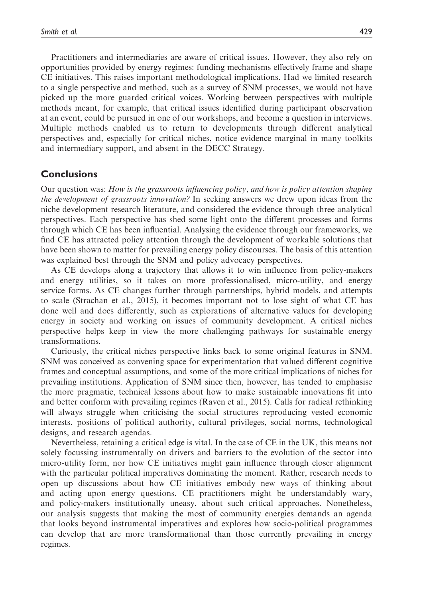Practitioners and intermediaries are aware of critical issues. However, they also rely on opportunities provided by energy regimes: funding mechanisms effectively frame and shape CE initiatives. This raises important methodological implications. Had we limited research to a single perspective and method, such as a survey of SNM processes, we would not have picked up the more guarded critical voices. Working between perspectives with multiple methods meant, for example, that critical issues identified during participant observation at an event, could be pursued in one of our workshops, and become a question in interviews. Multiple methods enabled us to return to developments through different analytical perspectives and, especially for critical niches, notice evidence marginal in many toolkits and intermediary support, and absent in the DECC Strategy.

## **Conclusions**

Our question was: How is the grassroots influencing policy, and how is policy attention shaping the development of grassroots innovation? In seeking answers we drew upon ideas from the niche development research literature, and considered the evidence through three analytical perspectives. Each perspective has shed some light onto the different processes and forms through which CE has been influential. Analysing the evidence through our frameworks, we find CE has attracted policy attention through the development of workable solutions that have been shown to matter for prevailing energy policy discourses. The basis of this attention was explained best through the SNM and policy advocacy perspectives.

As CE develops along a trajectory that allows it to win influence from policy-makers and energy utilities, so it takes on more professionalised, micro-utility, and energy service forms. As CE changes further through partnerships, hybrid models, and attempts to scale (Strachan et al., 2015), it becomes important not to lose sight of what CE has done well and does differently, such as explorations of alternative values for developing energy in society and working on issues of community development. A critical niches perspective helps keep in view the more challenging pathways for sustainable energy transformations.

Curiously, the critical niches perspective links back to some original features in SNM. SNM was conceived as convening space for experimentation that valued different cognitive frames and conceptual assumptions, and some of the more critical implications of niches for prevailing institutions. Application of SNM since then, however, has tended to emphasise the more pragmatic, technical lessons about how to make sustainable innovations fit into and better conform with prevailing regimes (Raven et al., 2015). Calls for radical rethinking will always struggle when criticising the social structures reproducing vested economic interests, positions of political authority, cultural privileges, social norms, technological designs, and research agendas.

Nevertheless, retaining a critical edge is vital. In the case of CE in the UK, this means not solely focussing instrumentally on drivers and barriers to the evolution of the sector into micro-utility form, nor how CE initiatives might gain influence through closer alignment with the particular political imperatives dominating the moment. Rather, research needs to open up discussions about how CE initiatives embody new ways of thinking about and acting upon energy questions. CE practitioners might be understandably wary, and policy-makers institutionally uneasy, about such critical approaches. Nonetheless, our analysis suggests that making the most of community energies demands an agenda that looks beyond instrumental imperatives and explores how socio-political programmes can develop that are more transformational than those currently prevailing in energy regimes.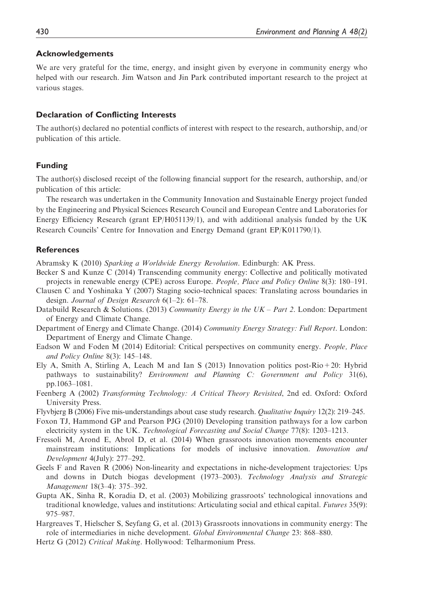#### Acknowledgements

We are very grateful for the time, energy, and insight given by everyone in community energy who helped with our research. Jim Watson and Jin Park contributed important research to the project at various stages.

#### Declaration of Conflicting Interests

The author(s) declared no potential conflicts of interest with respect to the research, authorship, and/or publication of this article.

#### Funding

The author(s) disclosed receipt of the following financial support for the research, authorship, and/or publication of this article:

The research was undertaken in the Community Innovation and Sustainable Energy project funded by the Engineering and Physical Sciences Research Council and European Centre and Laboratories for Energy Efficiency Research (grant EP/H051139/1), and with additional analysis funded by the UK Research Councils' Centre for Innovation and Energy Demand (grant EP/K011790/1).

#### **References**

Abramsky K (2010) Sparking a Worldwide Energy Revolution. Edinburgh: AK Press.

- Becker S and Kunze C (2014) Transcending community energy: Collective and politically motivated projects in renewable energy (CPE) across Europe. People, Place and Policy Online 8(3): 180–191.
- Clausen C and Yoshinaka Y (2007) Staging socio-technical spaces: Translating across boundaries in design. Journal of Design Research 6(1–2): 61–78.
- Databuild Research & Solutions. (2013) Community Energy in the  $UK Part 2$ . London: Department of Energy and Climate Change.
- Department of Energy and Climate Change. (2014) Community Energy Strategy: Full Report. London: Department of Energy and Climate Change.
- Eadson W and Foden M (2014) Editorial: Critical perspectives on community energy. People, Place and Policy Online 8(3): 145–148.
- Ely A, Smith A, Stirling A, Leach M and Ian S (2013) Innovation politics post-Rio+20: Hybrid pathways to sustainability? Environment and Planning C: Government and Policy 31(6), pp.1063–1081.
- Feenberg A (2002) Transforming Technology: A Critical Theory Revisited, 2nd ed. Oxford: Oxford University Press.
- Flyvbjerg B (2006) Five mis-understandings about case study research. Qualitative Inquiry 12(2): 219–245.
- Foxon TJ, Hammond GP and Pearson PJG (2010) Developing transition pathways for a low carbon electricity system in the UK. Technological Forecasting and Social Change 77(8): 1203–1213.
- Fressoli M, Arond E, Abrol D, et al. (2014) When grassroots innovation movements encounter mainstream institutions: Implications for models of inclusive innovation. Innovation and Development 4(July): 277–292.
- Geels F and Raven R (2006) Non-linearity and expectations in niche-development trajectories: Ups and downs in Dutch biogas development (1973–2003). Technology Analysis and Strategic Management 18(3–4): 375–392.
- Gupta AK, Sinha R, Koradia D, et al. (2003) Mobilizing grassroots' technological innovations and traditional knowledge, values and institutions: Articulating social and ethical capital. Futures 35(9): 975–987.
- Hargreaves T, Hielscher S, Seyfang G, et al. (2013) Grassroots innovations in community energy: The role of intermediaries in niche development. Global Environmental Change 23: 868–880.
- Hertz G (2012) Critical Making. Hollywood: Telharmonium Press.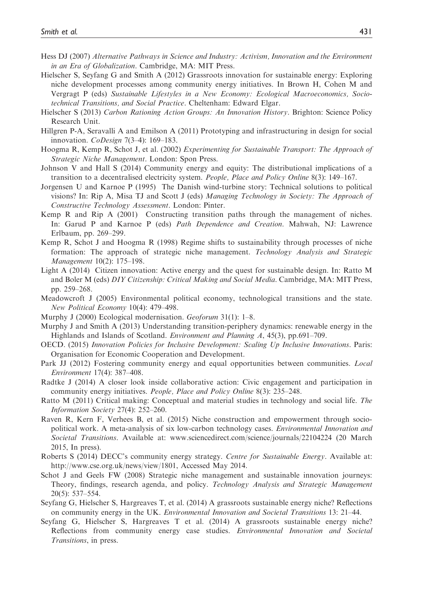- Hess DJ (2007) Alternative Pathways in Science and Industry: Activism, Innovation and the Environment in an Era of Globalization. Cambridge, MA: MIT Press.
- Hielscher S, Seyfang G and Smith A (2012) Grassroots innovation for sustainable energy: Exploring niche development processes among community energy initiatives. In Brown H, Cohen M and Vergragt P (eds) Sustainable Lifestyles in a New Economy: Ecological Macroeconomics, Sociotechnical Transitions, and Social Practice. Cheltenham: Edward Elgar.
- Hielscher S (2013) Carbon Rationing Action Groups: An Innovation History. Brighton: Science Policy Research Unit.
- Hillgren P-A, Seravalli A and Emilson A (2011) Prototyping and infrastructuring in design for social innovation. CoDesign 7(3–4): 169–183.
- Hoogma R, Kemp R, Schot J, et al. (2002) Experimenting for Sustainable Transport: The Approach of Strategic Niche Management. London: Spon Press.
- Johnson V and Hall S (2014) Community energy and equity: The distributional implications of a transition to a decentralised electricity system. People, Place and Policy Online 8(3): 149–167.
- Jorgensen U and Karnoe P (1995) The Danish wind-turbine story: Technical solutions to political visions? In: Rip A, Misa TJ and Scott J (eds) Managing Technology in Society: The Approach of Constructive Technology Assessment. London: Pinter.
- Kemp R and Rip A (2001) Constructing transition paths through the management of niches. In: Garud P and Karnoe P (eds) Path Dependence and Creation. Mahwah, NJ: Lawrence Erlbaum, pp. 269–299.
- Kemp R, Schot J and Hoogma R (1998) Regime shifts to sustainability through processes of niche formation: The approach of strategic niche management. Technology Analysis and Strategic Management 10(2): 175–198.
- Light A (2014) Citizen innovation: Active energy and the quest for sustainable design. In: Ratto M and Boler M (eds) DIY Citizenship: Critical Making and Social Media. Cambridge, MA: MIT Press, pp. 259–268.
- Meadowcroft J (2005) Environmental political economy, technological transitions and the state. New Political Economy 10(4): 479–498.
- Murphy J (2000) Ecological modernisation. Geoforum 31(1): 1–8.
- Murphy J and Smith A (2013) Understanding transition-periphery dynamics: renewable energy in the Highlands and Islands of Scotland. Environment and Planning A, 45(3), pp.691–709.
- OECD. (2015) Innovation Policies for Inclusive Development: Scaling Up Inclusive Innovations. Paris: Organisation for Economic Cooperation and Development.
- Park JJ (2012) Fostering community energy and equal opportunities between communities. Local Environment 17(4): 387–408.
- Radtke J (2014) A closer look inside collaborative action: Civic engagement and participation in community energy initiatives. People, Place and Policy Online 8(3): 235–248.
- Ratto M (2011) Critical making: Conceptual and material studies in technology and social life. The Information Society 27(4): 252–260.
- Raven R, Kern F, Verhees B, et al. (2015) Niche construction and empowerment through sociopolitical work. A meta-analysis of six low-carbon technology cases. Environmental Innovation and Societal Transitions. Available at:<www.sciencedirect.com/science/journals/22104224> (20 March 2015, In press).
- Roberts S (2014) DECC's community energy strategy. Centre for Sustainable Energy. Available at: [http://www.cse.org.uk/news/view/1801,](http://www.cse.org.uk/news/view/1801) Accessed May 2014.
- Schot J and Geels FW (2008) Strategic niche management and sustainable innovation journeys: Theory, findings, research agenda, and policy. Technology Analysis and Strategic Management 20(5): 537–554.
- Seyfang G, Hielscher S, Hargreaves T, et al. (2014) A grassroots sustainable energy niche? Reflections on community energy in the UK. Environmental Innovation and Societal Transitions 13: 21–44.
- Seyfang G, Hielscher S, Hargreaves T et al. (2014) A grassroots sustainable energy niche? Reflections from community energy case studies. Environmental Innovation and Societal Transitions, in press.